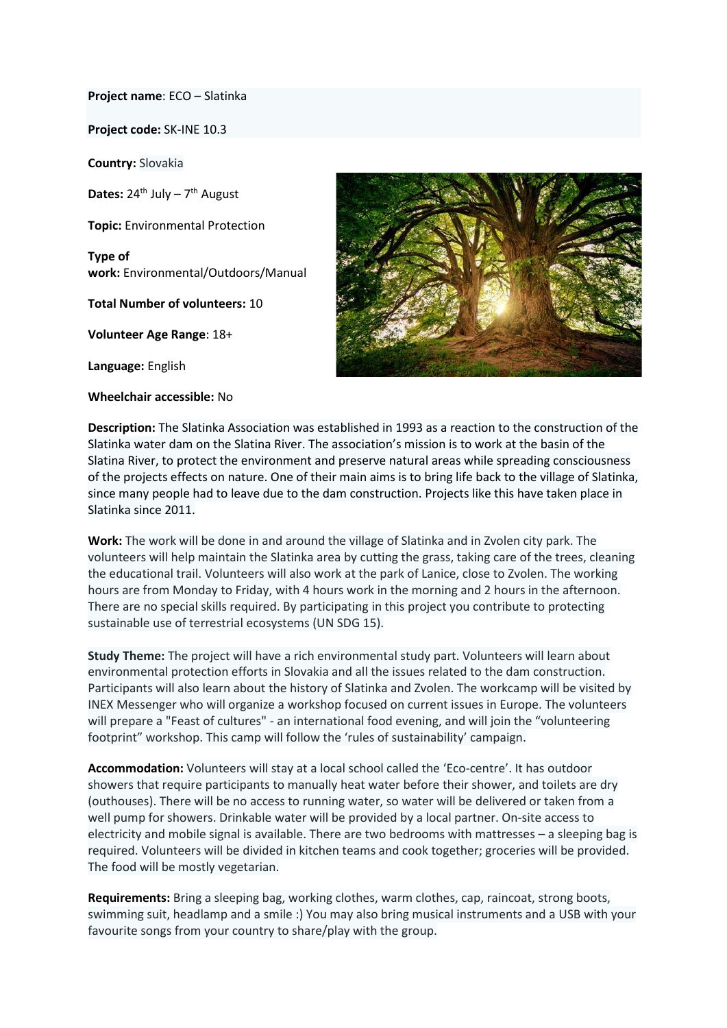**Project name**: ECO – Slatinka

**Project code:** SK-INE 10.3

**Country:** Slovakia

Dates: 24<sup>th</sup> July - 7<sup>th</sup> August

**Topic:** Environmental Protection

**Type of work:** Environmental/Outdoors/Manual

**Total Number of volunteers:** 10

**Volunteer Age Range**: 18+

**Language:** English

**Wheelchair accessible:** No



**Description:** The Slatinka Association was established in 1993 as a reaction to the construction of the Slatinka water dam on the Slatina River. The association's mission is to work at the basin of the Slatina River, to protect the environment and preserve natural areas while spreading consciousness of the projects effects on nature. One of their main aims is to bring life back to the village of Slatinka, since many people had to leave due to the dam construction. Projects like this have taken place in Slatinka since 2011.

**Work:** The work will be done in and around the village of Slatinka and in Zvolen city park. The volunteers will help maintain the Slatinka area by cutting the grass, taking care of the trees, cleaning the educational trail. Volunteers will also work at the park of Lanice, close to Zvolen. The working hours are from Monday to Friday, with 4 hours work in the morning and 2 hours in the afternoon. There are no special skills required. By participating in this project you contribute to protecting sustainable use of terrestrial ecosystems (UN SDG 15).

**Study Theme:** The project will have a rich environmental study part. Volunteers will learn about environmental protection efforts in Slovakia and all the issues related to the dam construction. Participants will also learn about the history of Slatinka and Zvolen. The workcamp will be visited by INEX Messenger who will organize a workshop focused on current issues in Europe. The volunteers will prepare a "Feast of cultures" - an international food evening, and will join the "volunteering footprint" workshop. This camp will follow the 'rules of sustainability' campaign.

**Accommodation:** Volunteers will stay at a local school called the 'Eco-centre'. It has outdoor showers that require participants to manually heat water before their shower, and toilets are dry (outhouses). There will be no access to running water, so water will be delivered or taken from a well pump for showers. Drinkable water will be provided by a local partner. On-site access to electricity and mobile signal is available. There are two bedrooms with mattresses – a sleeping bag is required. Volunteers will be divided in kitchen teams and cook together; groceries will be provided. The food will be mostly vegetarian.

**Requirements:** Bring a sleeping bag, working clothes, warm clothes, cap, raincoat, strong boots, swimming suit, headlamp and a smile :) You may also bring musical instruments and a USB with your favourite songs from your country to share/play with the group.